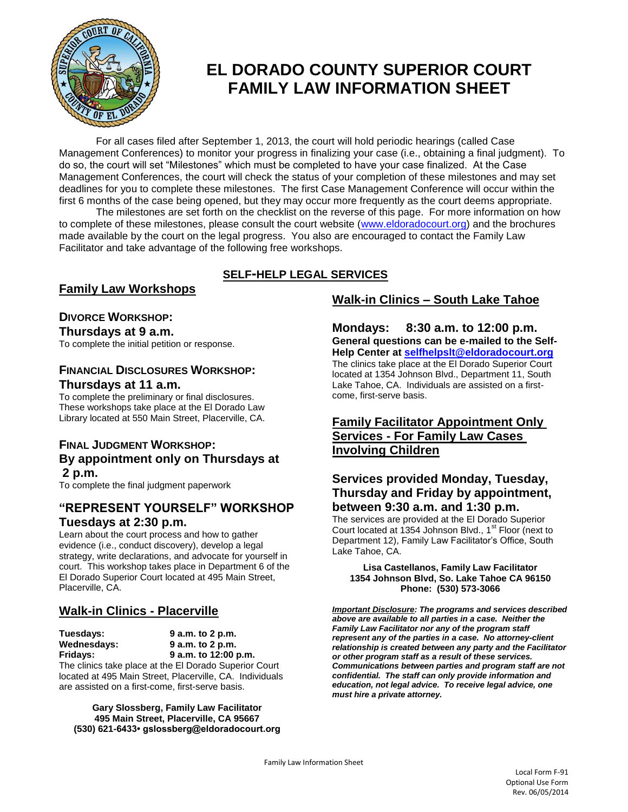

# **EL DORADO COUNTY SUPERIOR COURT FAMILY LAW INFORMATION SHEET**

For all cases filed after September 1, 2013, the court will hold periodic hearings (called Case Management Conferences) to monitor your progress in finalizing your case (i.e., obtaining a final judgment). To do so, the court will set "Milestones" which must be completed to have your case finalized. At the Case Management Conferences, the court will check the status of your completion of these milestones and may set deadlines for you to complete these milestones. The first Case Management Conference will occur within the first 6 months of the case being opened, but they may occur more frequently as the court deems appropriate.

The milestones are set forth on the checklist on the reverse of this page. For more information on how to complete of these milestones, please consult the court website [\(www.eldoradocourt.org\)](http://www.eldoradocourt.org/) and the brochures made available by the court on the legal progress. You also are encouraged to contact the Family Law Facilitator and take advantage of the following free workshops.

## **SELF-HELP LEGAL SERVICES**

### **Family Law Workshops**

## **DIVORCE WORKSHOP:**

**Thursdays at 9 a.m.**

To complete the initial petition or response.

#### **FINANCIAL DISCLOSURES WORKSHOP: Thursdays at 11 a.m.**

To complete the preliminary or final disclosures. These workshops take place at the El Dorado Law Library located at 550 Main Street, Placerville, CA.

### **FINAL JUDGMENT WORKSHOP: By appointment only on Thursdays at 2 p.m.**

To complete the final judgment paperwork

## **"REPRESENT YOURSELF" WORKSHOP**

#### **Tuesdays at 2:30 p.m.**

Learn about the court process and how to gather evidence (i.e., conduct discovery), develop a legal strategy, write declarations, and advocate for yourself in court. This workshop takes place in Department 6 of the El Dorado Superior Court located at 495 Main Street, Placerville, CA.

## **Walk-in Clinics - Placerville**

**Tuesdays: 9 a.m. to 2 p.m. Wednesdays: 9 a.m. to 2 p.m. Fridays: 9 a.m. to 12:00 p.m.** The clinics take place at the El Dorado Superior Court located at 495 Main Street, Placerville, CA. Individuals

are assisted on a first-come, first-serve basis.

**Gary Slossberg, Family Law Facilitator 495 Main Street, Placerville, CA 95667 (530) 621-6433• gslossberg@eldoradocourt.org**

## **Walk-in Clinics – South Lake Tahoe**

**Mondays: 8:30 a.m. to 12:00 p.m. General questions can be e-mailed to the Self-Help Center at [selfhelpslt@eldoradocourt.org](mailto:selfhelpslt@eldoradocourt.org)** The clinics take place at the El Dorado Superior Court located at 1354 Johnson Blvd., Department 11, South Lake Tahoe, CA. Individuals are assisted on a firstcome, first-serve basis.

### **Family Facilitator Appointment Only Services - For Family Law Cases Involving Children**

### **Services provided Monday, Tuesday, Thursday and Friday by appointment, between 9:30 a.m. and 1:30 p.m.**

The services are provided at the El Dorado Superior Court located at 1354 Johnson Blvd., 1<sup>st</sup> Floor (next to Department 12), Family Law Facilitator's Office, South Lake Tahoe, CA.

#### **Lisa Castellanos, Family Law Facilitator 1354 Johnson Blvd, So. Lake Tahoe CA 96150 Phone: (530) 573-3066**

*Important Disclosure: The programs and services described above are available to all parties in a case. Neither the Family Law Facilitator nor any of the program staff represent any of the parties in a case. No attorney-client relationship is created between any party and the Facilitator or other program staff as a result of these services. Communications between parties and program staff are not confidential. The staff can only provide information and education, not legal advice. To receive legal advice, one must hire a private attorney.*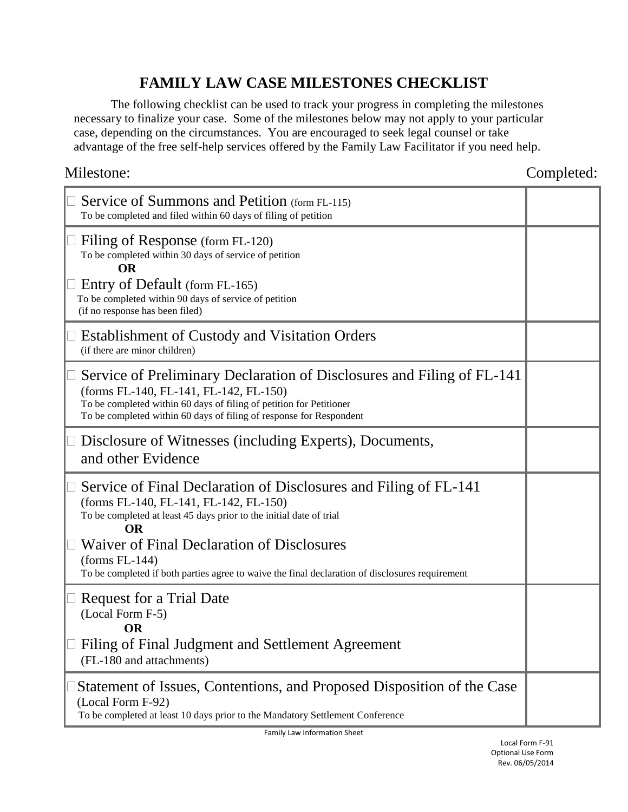## **FAMILY LAW CASE MILESTONES CHECKLIST**

The following checklist can be used to track your progress in completing the milestones necessary to finalize your case. Some of the milestones below may not apply to your particular case, depending on the circumstances. You are encouraged to seek legal counsel or take advantage of the free self-help services offered by the Family Law Facilitator if you need help.

Milestone: Completed: Completed:

| Service of Summons and Petition (form FL-115)<br>To be completed and filed within 60 days of filing of petition                                                                                                                                                |  |
|----------------------------------------------------------------------------------------------------------------------------------------------------------------------------------------------------------------------------------------------------------------|--|
| Filing of Response (form FL-120)<br>To be completed within 30 days of service of petition<br><b>OR</b>                                                                                                                                                         |  |
| Entry of Default (form FL-165)<br>To be completed within 90 days of service of petition<br>(if no response has been filed)                                                                                                                                     |  |
| <b>Establishment of Custody and Visitation Orders</b><br>(if there are minor children)                                                                                                                                                                         |  |
| Service of Preliminary Declaration of Disclosures and Filing of FL-141<br>(forms FL-140, FL-141, FL-142, FL-150)<br>To be completed within 60 days of filing of petition for Petitioner<br>To be completed within 60 days of filing of response for Respondent |  |
| Disclosure of Witnesses (including Experts), Documents,<br>and other Evidence                                                                                                                                                                                  |  |
| Service of Final Declaration of Disclosures and Filing of FL-141<br>(forms FL-140, FL-141, FL-142, FL-150)<br>To be completed at least 45 days prior to the initial date of trial<br><b>OR</b>                                                                 |  |
| <b>Waiver of Final Declaration of Disclosures</b><br>$(forms FL-144)$<br>To be completed if both parties agree to waive the final declaration of disclosures requirement                                                                                       |  |
| <b>Request for a Trial Date</b><br>(Local Form F-5)<br><b>OR</b>                                                                                                                                                                                               |  |
| Filing of Final Judgment and Settlement Agreement<br>(FL-180 and attachments)                                                                                                                                                                                  |  |
| Statement of Issues, Contentions, and Proposed Disposition of the Case<br>(Local Form F-92)<br>To be completed at least 10 days prior to the Mandatory Settlement Conference                                                                                   |  |

Family Law Information Sheet